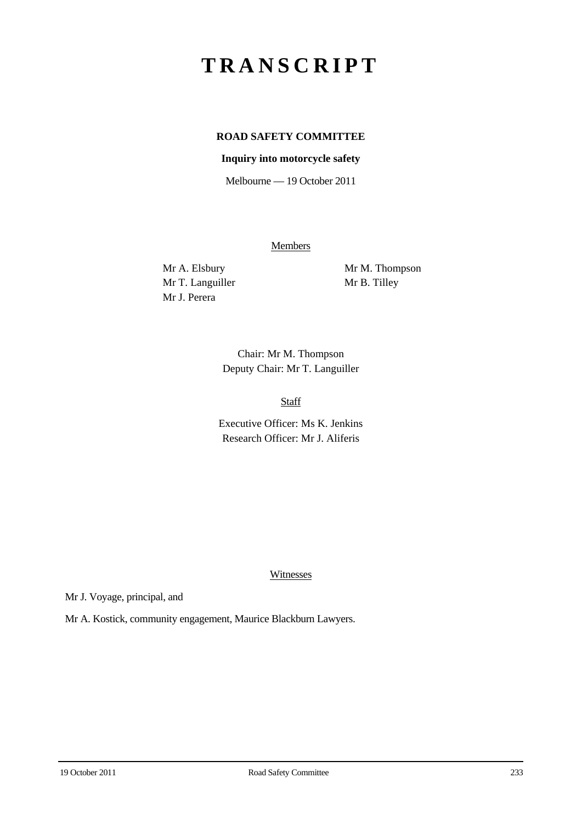# **TRANSCRIPT**

## **ROAD SAFETY COMMITTEE**

### **Inquiry into motorcycle safety**

Melbourne — 19 October 2011

**Members** 

Mr T. Languiller Mr B. Tilley Mr J. Perera

Mr A. Elsbury Mr M. Thompson

Chair: Mr M. Thompson Deputy Chair: Mr T. Languiller

Staff

Executive Officer: Ms K. Jenkins Research Officer: Mr J. Aliferis

Witnesses

Mr J. Voyage, principal, and

Mr A. Kostick, community engagement, Maurice Blackburn Lawyers.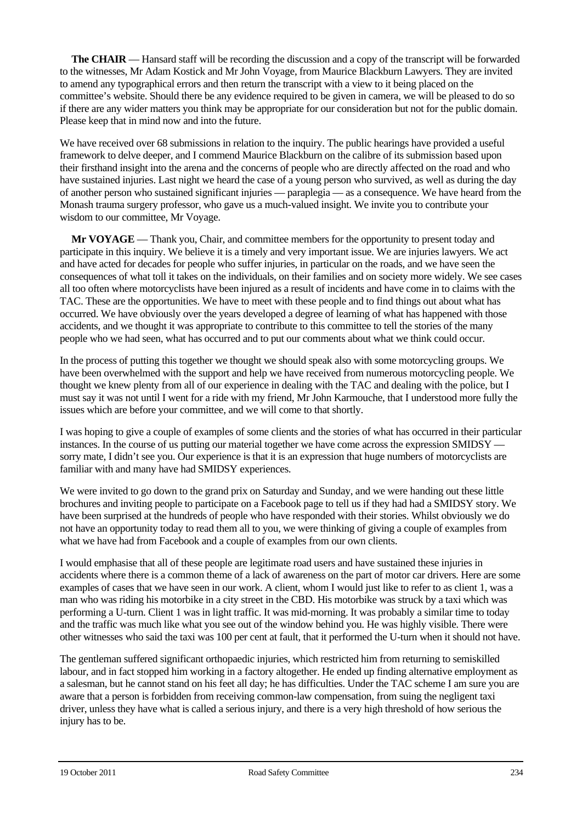**The CHAIR** — Hansard staff will be recording the discussion and a copy of the transcript will be forwarded to the witnesses, Mr Adam Kostick and Mr John Voyage, from Maurice Blackburn Lawyers. They are invited to amend any typographical errors and then return the transcript with a view to it being placed on the committee's website. Should there be any evidence required to be given in camera, we will be pleased to do so if there are any wider matters you think may be appropriate for our consideration but not for the public domain. Please keep that in mind now and into the future.

We have received over 68 submissions in relation to the inquiry. The public hearings have provided a useful framework to delve deeper, and I commend Maurice Blackburn on the calibre of its submission based upon their firsthand insight into the arena and the concerns of people who are directly affected on the road and who have sustained injuries. Last night we heard the case of a young person who survived, as well as during the day of another person who sustained significant injuries — paraplegia — as a consequence. We have heard from the Monash trauma surgery professor, who gave us a much-valued insight. We invite you to contribute your wisdom to our committee, Mr Voyage.

**Mr VOYAGE** — Thank you, Chair, and committee members for the opportunity to present today and participate in this inquiry. We believe it is a timely and very important issue. We are injuries lawyers. We act and have acted for decades for people who suffer injuries, in particular on the roads, and we have seen the consequences of what toll it takes on the individuals, on their families and on society more widely. We see cases all too often where motorcyclists have been injured as a result of incidents and have come in to claims with the TAC. These are the opportunities. We have to meet with these people and to find things out about what has occurred. We have obviously over the years developed a degree of learning of what has happened with those accidents, and we thought it was appropriate to contribute to this committee to tell the stories of the many people who we had seen, what has occurred and to put our comments about what we think could occur.

In the process of putting this together we thought we should speak also with some motorcycling groups. We have been overwhelmed with the support and help we have received from numerous motorcycling people. We thought we knew plenty from all of our experience in dealing with the TAC and dealing with the police, but I must say it was not until I went for a ride with my friend, Mr John Karmouche, that I understood more fully the issues which are before your committee, and we will come to that shortly.

I was hoping to give a couple of examples of some clients and the stories of what has occurred in their particular instances. In the course of us putting our material together we have come across the expression SMIDSY sorry mate, I didn't see you. Our experience is that it is an expression that huge numbers of motorcyclists are familiar with and many have had SMIDSY experiences.

We were invited to go down to the grand prix on Saturday and Sunday, and we were handing out these little brochures and inviting people to participate on a Facebook page to tell us if they had had a SMIDSY story. We have been surprised at the hundreds of people who have responded with their stories. Whilst obviously we do not have an opportunity today to read them all to you, we were thinking of giving a couple of examples from what we have had from Facebook and a couple of examples from our own clients.

I would emphasise that all of these people are legitimate road users and have sustained these injuries in accidents where there is a common theme of a lack of awareness on the part of motor car drivers. Here are some examples of cases that we have seen in our work. A client, whom I would just like to refer to as client 1, was a man who was riding his motorbike in a city street in the CBD. His motorbike was struck by a taxi which was performing a U-turn. Client 1 was in light traffic. It was mid-morning. It was probably a similar time to today and the traffic was much like what you see out of the window behind you. He was highly visible. There were other witnesses who said the taxi was 100 per cent at fault, that it performed the U-turn when it should not have.

The gentleman suffered significant orthopaedic injuries, which restricted him from returning to semiskilled labour, and in fact stopped him working in a factory altogether. He ended up finding alternative employment as a salesman, but he cannot stand on his feet all day; he has difficulties. Under the TAC scheme I am sure you are aware that a person is forbidden from receiving common-law compensation, from suing the negligent taxi driver, unless they have what is called a serious injury, and there is a very high threshold of how serious the injury has to be.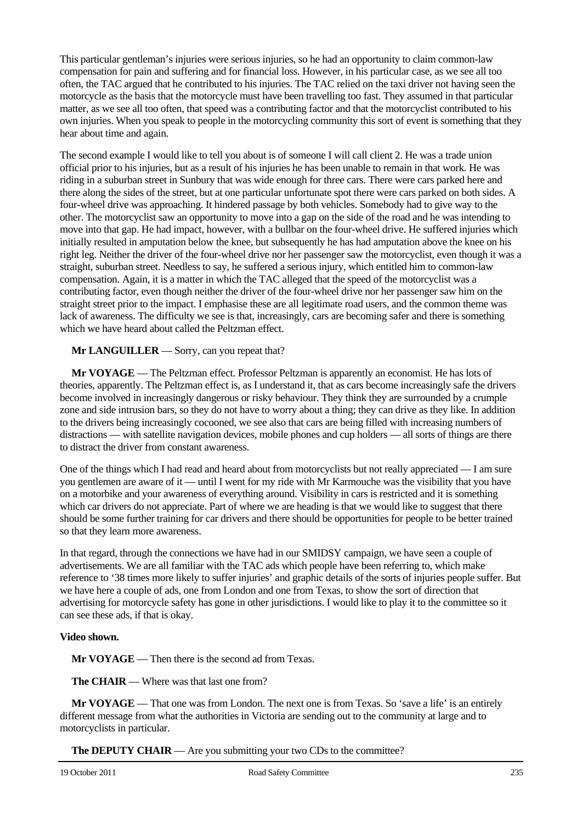This particular gentleman's injuries were serious injuries, so he had an opportunity to claim common-law compensation for pain and suffering and for financial loss. However, in his particular case, as we see all too often, the TAC argued that he contributed to his injuries. The TAC relied on the taxi driver not having seen the motorcycle as the basis that the motorcycle must have been travelling too fast. They assumed in that particular matter, as we see all too often, that speed was a contributing factor and that the motorcyclist contributed to his own injuries. When you speak to people in the motorcycling community this sort of event is something that they hear about time and again.

The second example I would like to tell you about is of someone I will call client 2. He was a trade union official prior to his injuries, but as a result of his injuries he has been unable to remain in that work. He was riding in a suburban street in Sunbury that was wide enough for three cars. There were cars parked here and there along the sides of the street, but at one particular unfortunate spot there were cars parked on both sides. A four-wheel drive was approaching. It hindered passage by both vehicles. Somebody had to give way to the other. The motorcyclist saw an opportunity to move into a gap on the side of the road and he was intending to move into that gap. He had impact, however, with a bullbar on the four-wheel drive. He suffered injuries which initially resulted in amputation below the knee, but subsequently he has had amputation above the knee on his right leg. Neither the driver of the four-wheel drive nor her passenger saw the motorcyclist, even though it was a straight, suburban street. Needless to say, he suffered a serious injury, which entitled him to common-law compensation. Again, it is a matter in which the TAC alleged that the speed of the motorcyclist was a contributing factor, even though neither the driver of the four-wheel drive nor her passenger saw him on the straight street prior to the impact. I emphasise these are all legitimate road users, and the common theme was lack of awareness. The difficulty we see is that, increasingly, cars are becoming safer and there is something which we have heard about called the Peltzman effect.

### **Mr LANGUILLER** — Sorry, can you repeat that?

**Mr VOYAGE** — The Peltzman effect. Professor Peltzman is apparently an economist. He has lots of theories, apparently. The Peltzman effect is, as I understand it, that as cars become increasingly safe the drivers become involved in increasingly dangerous or risky behaviour. They think they are surrounded by a crumple zone and side intrusion bars, so they do not have to worry about a thing; they can drive as they like. In addition to the drivers being increasingly cocooned, we see also that cars are being filled with increasing numbers of distractions — with satellite navigation devices, mobile phones and cup holders — all sorts of things are there to distract the driver from constant awareness.

One of the things which I had read and heard about from motorcyclists but not really appreciated — I am sure you gentlemen are aware of it — until I went for my ride with Mr Karmouche was the visibility that you have on a motorbike and your awareness of everything around. Visibility in cars is restricted and it is something which car drivers do not appreciate. Part of where we are heading is that we would like to suggest that there should be some further training for car drivers and there should be opportunities for people to be better trained so that they learn more awareness.

In that regard, through the connections we have had in our SMIDSY campaign, we have seen a couple of advertisements. We are all familiar with the TAC ads which people have been referring to, which make reference to '38 times more likely to suffer injuries' and graphic details of the sorts of injuries people suffer. But we have here a couple of ads, one from London and one from Texas, to show the sort of direction that advertising for motorcycle safety has gone in other jurisdictions. I would like to play it to the committee so it can see these ads, if that is okay.

### **Video shown.**

**Mr VOYAGE** — Then there is the second ad from Texas.

**The CHAIR** — Where was that last one from?

**Mr VOYAGE** — That one was from London. The next one is from Texas. So 'save a life' is an entirely different message from what the authorities in Victoria are sending out to the community at large and to motorcyclists in particular.

**The DEPUTY CHAIR** — Are you submitting your two CDs to the committee?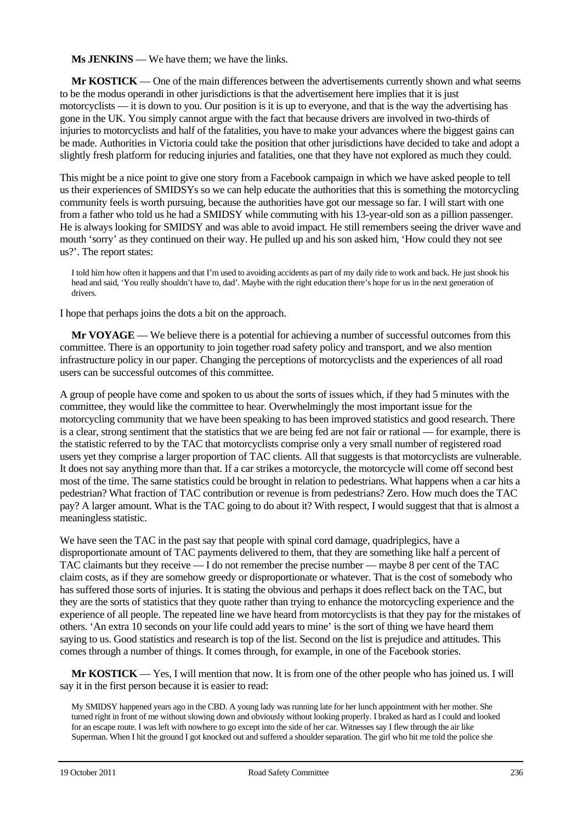**Ms JENKINS** — We have them; we have the links.

**Mr KOSTICK** — One of the main differences between the advertisements currently shown and what seems to be the modus operandi in other jurisdictions is that the advertisement here implies that it is just motorcyclists — it is down to you. Our position is it is up to everyone, and that is the way the advertising has gone in the UK. You simply cannot argue with the fact that because drivers are involved in two-thirds of injuries to motorcyclists and half of the fatalities, you have to make your advances where the biggest gains can be made. Authorities in Victoria could take the position that other jurisdictions have decided to take and adopt a slightly fresh platform for reducing injuries and fatalities, one that they have not explored as much they could.

This might be a nice point to give one story from a Facebook campaign in which we have asked people to tell us their experiences of SMIDSYs so we can help educate the authorities that this is something the motorcycling community feels is worth pursuing, because the authorities have got our message so far. I will start with one from a father who told us he had a SMIDSY while commuting with his 13-year-old son as a pillion passenger. He is always looking for SMIDSY and was able to avoid impact. He still remembers seeing the driver wave and mouth 'sorry' as they continued on their way. He pulled up and his son asked him, 'How could they not see us?'. The report states:

I told him how often it happens and that I'm used to avoiding accidents as part of my daily ride to work and back. He just shook his head and said, 'You really shouldn't have to, dad'. Maybe with the right education there's hope for us in the next generation of drivers.

I hope that perhaps joins the dots a bit on the approach.

**Mr VOYAGE** — We believe there is a potential for achieving a number of successful outcomes from this committee. There is an opportunity to join together road safety policy and transport, and we also mention infrastructure policy in our paper. Changing the perceptions of motorcyclists and the experiences of all road users can be successful outcomes of this committee.

A group of people have come and spoken to us about the sorts of issues which, if they had 5 minutes with the committee, they would like the committee to hear. Overwhelmingly the most important issue for the motorcycling community that we have been speaking to has been improved statistics and good research. There is a clear, strong sentiment that the statistics that we are being fed are not fair or rational — for example, there is the statistic referred to by the TAC that motorcyclists comprise only a very small number of registered road users yet they comprise a larger proportion of TAC clients. All that suggests is that motorcyclists are vulnerable. It does not say anything more than that. If a car strikes a motorcycle, the motorcycle will come off second best most of the time. The same statistics could be brought in relation to pedestrians. What happens when a car hits a pedestrian? What fraction of TAC contribution or revenue is from pedestrians? Zero. How much does the TAC pay? A larger amount. What is the TAC going to do about it? With respect, I would suggest that that is almost a meaningless statistic.

We have seen the TAC in the past say that people with spinal cord damage, quadriplegics, have a disproportionate amount of TAC payments delivered to them, that they are something like half a percent of TAC claimants but they receive — I do not remember the precise number — maybe 8 per cent of the TAC claim costs, as if they are somehow greedy or disproportionate or whatever. That is the cost of somebody who has suffered those sorts of injuries. It is stating the obvious and perhaps it does reflect back on the TAC, but they are the sorts of statistics that they quote rather than trying to enhance the motorcycling experience and the experience of all people. The repeated line we have heard from motorcyclists is that they pay for the mistakes of others. 'An extra 10 seconds on your life could add years to mine' is the sort of thing we have heard them saying to us. Good statistics and research is top of the list. Second on the list is prejudice and attitudes. This comes through a number of things. It comes through, for example, in one of the Facebook stories.

**Mr KOSTICK** — Yes, I will mention that now. It is from one of the other people who has joined us. I will say it in the first person because it is easier to read:

My SMIDSY happened years ago in the CBD. A young lady was running late for her lunch appointment with her mother. She turned right in front of me without slowing down and obviously without looking properly. I braked as hard as I could and looked for an escape route. I was left with nowhere to go except into the side of her car. Witnesses say I flew through the air like Superman. When I hit the ground I got knocked out and suffered a shoulder separation. The girl who hit me told the police she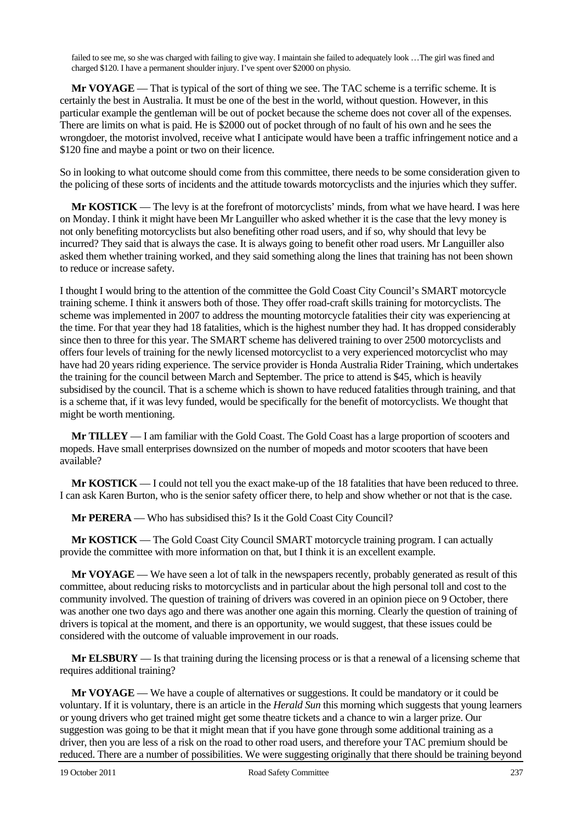failed to see me, so she was charged with failing to give way. I maintain she failed to adequately look …The girl was fined and charged \$120. I have a permanent shoulder injury. I've spent over \$2000 on physio.

**Mr VOYAGE** — That is typical of the sort of thing we see. The TAC scheme is a terrific scheme. It is certainly the best in Australia. It must be one of the best in the world, without question. However, in this particular example the gentleman will be out of pocket because the scheme does not cover all of the expenses. There are limits on what is paid. He is \$2000 out of pocket through of no fault of his own and he sees the wrongdoer, the motorist involved, receive what I anticipate would have been a traffic infringement notice and a \$120 fine and maybe a point or two on their licence.

So in looking to what outcome should come from this committee, there needs to be some consideration given to the policing of these sorts of incidents and the attitude towards motorcyclists and the injuries which they suffer.

**Mr KOSTICK** — The levy is at the forefront of motorcyclists' minds, from what we have heard. I was here on Monday. I think it might have been Mr Languiller who asked whether it is the case that the levy money is not only benefiting motorcyclists but also benefiting other road users, and if so, why should that levy be incurred? They said that is always the case. It is always going to benefit other road users. Mr Languiller also asked them whether training worked, and they said something along the lines that training has not been shown to reduce or increase safety.

I thought I would bring to the attention of the committee the Gold Coast City Council's SMART motorcycle training scheme. I think it answers both of those. They offer road-craft skills training for motorcyclists. The scheme was implemented in 2007 to address the mounting motorcycle fatalities their city was experiencing at the time. For that year they had 18 fatalities, which is the highest number they had. It has dropped considerably since then to three for this year. The SMART scheme has delivered training to over 2500 motorcyclists and offers four levels of training for the newly licensed motorcyclist to a very experienced motorcyclist who may have had 20 years riding experience. The service provider is Honda Australia Rider Training, which undertakes the training for the council between March and September. The price to attend is \$45, which is heavily subsidised by the council. That is a scheme which is shown to have reduced fatalities through training, and that is a scheme that, if it was levy funded, would be specifically for the benefit of motorcyclists. We thought that might be worth mentioning.

**Mr TILLEY** — I am familiar with the Gold Coast. The Gold Coast has a large proportion of scooters and mopeds. Have small enterprises downsized on the number of mopeds and motor scooters that have been available?

**Mr KOSTICK** — I could not tell you the exact make-up of the 18 fatalities that have been reduced to three. I can ask Karen Burton, who is the senior safety officer there, to help and show whether or not that is the case.

**Mr PERERA** — Who has subsidised this? Is it the Gold Coast City Council?

**Mr KOSTICK** — The Gold Coast City Council SMART motorcycle training program. I can actually provide the committee with more information on that, but I think it is an excellent example.

**Mr VOYAGE** — We have seen a lot of talk in the newspapers recently, probably generated as result of this committee, about reducing risks to motorcyclists and in particular about the high personal toll and cost to the community involved. The question of training of drivers was covered in an opinion piece on 9 October, there was another one two days ago and there was another one again this morning. Clearly the question of training of drivers is topical at the moment, and there is an opportunity, we would suggest, that these issues could be considered with the outcome of valuable improvement in our roads.

**Mr ELSBURY** — Is that training during the licensing process or is that a renewal of a licensing scheme that requires additional training?

**Mr VOYAGE** — We have a couple of alternatives or suggestions. It could be mandatory or it could be voluntary. If it is voluntary, there is an article in the *Herald Sun* this morning which suggests that young learners or young drivers who get trained might get some theatre tickets and a chance to win a larger prize. Our suggestion was going to be that it might mean that if you have gone through some additional training as a driver, then you are less of a risk on the road to other road users, and therefore your TAC premium should be reduced. There are a number of possibilities. We were suggesting originally that there should be training beyond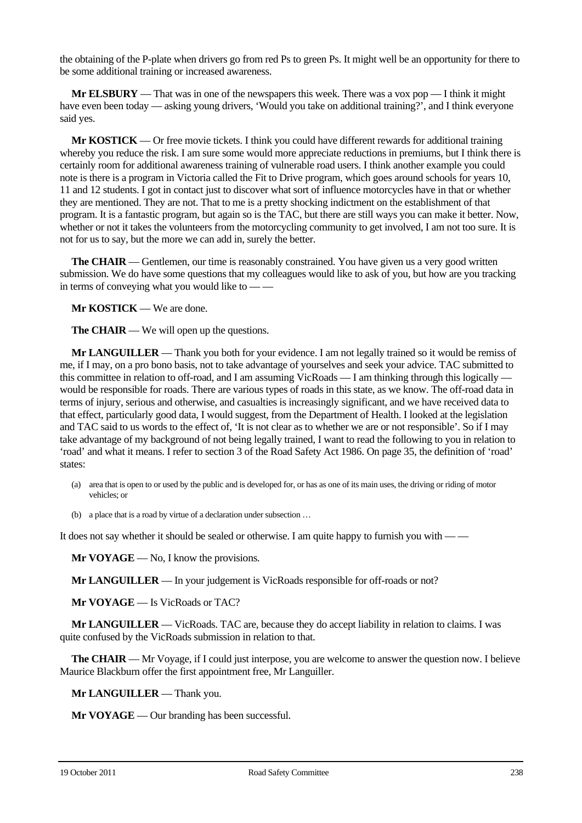the obtaining of the P-plate when drivers go from red Ps to green Ps. It might well be an opportunity for there to be some additional training or increased awareness.

**Mr ELSBURY** — That was in one of the newspapers this week. There was a vox pop — I think it might have even been today — asking young drivers, 'Would you take on additional training?', and I think everyone said yes.

**Mr KOSTICK** — Or free movie tickets. I think you could have different rewards for additional training whereby you reduce the risk. I am sure some would more appreciate reductions in premiums, but I think there is certainly room for additional awareness training of vulnerable road users. I think another example you could note is there is a program in Victoria called the Fit to Drive program, which goes around schools for years 10, 11 and 12 students. I got in contact just to discover what sort of influence motorcycles have in that or whether they are mentioned. They are not. That to me is a pretty shocking indictment on the establishment of that program. It is a fantastic program, but again so is the TAC, but there are still ways you can make it better. Now, whether or not it takes the volunteers from the motorcycling community to get involved, I am not too sure. It is not for us to say, but the more we can add in, surely the better.

**The CHAIR** — Gentlemen, our time is reasonably constrained. You have given us a very good written submission. We do have some questions that my colleagues would like to ask of you, but how are you tracking in terms of conveying what you would like to — —

**Mr KOSTICK** — We are done.

**The CHAIR** — We will open up the questions.

**Mr LANGUILLER** — Thank you both for your evidence. I am not legally trained so it would be remiss of me, if I may, on a pro bono basis, not to take advantage of yourselves and seek your advice. TAC submitted to this committee in relation to off-road, and I am assuming VicRoads — I am thinking through this logically would be responsible for roads. There are various types of roads in this state, as we know. The off-road data in terms of injury, serious and otherwise, and casualties is increasingly significant, and we have received data to that effect, particularly good data, I would suggest, from the Department of Health. I looked at the legislation and TAC said to us words to the effect of, 'It is not clear as to whether we are or not responsible'. So if I may take advantage of my background of not being legally trained, I want to read the following to you in relation to 'road' and what it means. I refer to section 3 of the Road Safety Act 1986. On page 35, the definition of 'road' states:

- (a) area that is open to or used by the public and is developed for, or has as one of its main uses, the driving or riding of motor vehicles; or
- (b) a place that is a road by virtue of a declaration under subsection …

It does not say whether it should be sealed or otherwise. I am quite happy to furnish you with — —

**Mr VOYAGE** — No, I know the provisions.

**Mr LANGUILLER** — In your judgement is VicRoads responsible for off-roads or not?

**Mr VOYAGE** — Is VicRoads or TAC?

**Mr LANGUILLER** — VicRoads. TAC are, because they do accept liability in relation to claims. I was quite confused by the VicRoads submission in relation to that.

**The CHAIR** — Mr Voyage, if I could just interpose, you are welcome to answer the question now. I believe Maurice Blackburn offer the first appointment free, Mr Languiller.

**Mr LANGUILLER** — Thank you.

**Mr VOYAGE** — Our branding has been successful.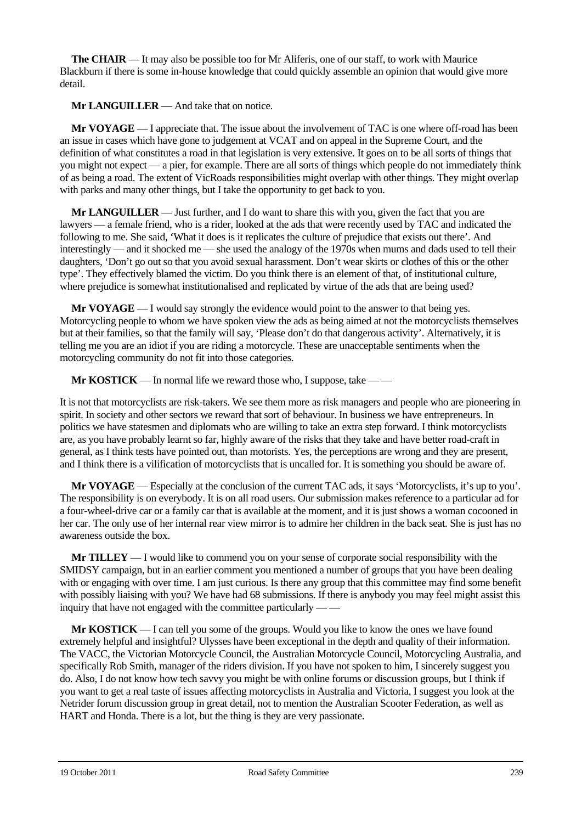**The CHAIR** — It may also be possible too for Mr Aliferis, one of our staff, to work with Maurice Blackburn if there is some in-house knowledge that could quickly assemble an opinion that would give more detail.

**Mr LANGUILLER** — And take that on notice.

**Mr VOYAGE** — I appreciate that. The issue about the involvement of TAC is one where off-road has been an issue in cases which have gone to judgement at VCAT and on appeal in the Supreme Court, and the definition of what constitutes a road in that legislation is very extensive. It goes on to be all sorts of things that you might not expect — a pier, for example. There are all sorts of things which people do not immediately think of as being a road. The extent of VicRoads responsibilities might overlap with other things. They might overlap with parks and many other things, but I take the opportunity to get back to you.

**Mr LANGUILLER** — Just further, and I do want to share this with you, given the fact that you are lawyers — a female friend, who is a rider, looked at the ads that were recently used by TAC and indicated the following to me. She said, 'What it does is it replicates the culture of prejudice that exists out there'. And interestingly — and it shocked me — she used the analogy of the 1970s when mums and dads used to tell their daughters, 'Don't go out so that you avoid sexual harassment. Don't wear skirts or clothes of this or the other type'. They effectively blamed the victim. Do you think there is an element of that, of institutional culture, where prejudice is somewhat institutionalised and replicated by virtue of the ads that are being used?

**Mr VOYAGE** — I would say strongly the evidence would point to the answer to that being yes. Motorcycling people to whom we have spoken view the ads as being aimed at not the motorcyclists themselves but at their families, so that the family will say, 'Please don't do that dangerous activity'. Alternatively, it is telling me you are an idiot if you are riding a motorcycle. These are unacceptable sentiments when the motorcycling community do not fit into those categories.

**Mr KOSTICK** — In normal life we reward those who, I suppose, take — —

It is not that motorcyclists are risk-takers. We see them more as risk managers and people who are pioneering in spirit. In society and other sectors we reward that sort of behaviour. In business we have entrepreneurs. In politics we have statesmen and diplomats who are willing to take an extra step forward. I think motorcyclists are, as you have probably learnt so far, highly aware of the risks that they take and have better road-craft in general, as I think tests have pointed out, than motorists. Yes, the perceptions are wrong and they are present, and I think there is a vilification of motorcyclists that is uncalled for. It is something you should be aware of.

**Mr VOYAGE** — Especially at the conclusion of the current TAC ads, it says 'Motorcyclists, it's up to you'. The responsibility is on everybody. It is on all road users. Our submission makes reference to a particular ad for a four-wheel-drive car or a family car that is available at the moment, and it is just shows a woman cocooned in her car. The only use of her internal rear view mirror is to admire her children in the back seat. She is just has no awareness outside the box.

**Mr TILLEY** — I would like to commend you on your sense of corporate social responsibility with the SMIDSY campaign, but in an earlier comment you mentioned a number of groups that you have been dealing with or engaging with over time. I am just curious. Is there any group that this committee may find some benefit with possibly liaising with you? We have had 68 submissions. If there is anybody you may feel might assist this inquiry that have not engaged with the committee particularly — —

**Mr KOSTICK** — I can tell you some of the groups. Would you like to know the ones we have found extremely helpful and insightful? Ulysses have been exceptional in the depth and quality of their information. The VACC, the Victorian Motorcycle Council, the Australian Motorcycle Council, Motorcycling Australia, and specifically Rob Smith, manager of the riders division. If you have not spoken to him, I sincerely suggest you do. Also, I do not know how tech savvy you might be with online forums or discussion groups, but I think if you want to get a real taste of issues affecting motorcyclists in Australia and Victoria, I suggest you look at the Netrider forum discussion group in great detail, not to mention the Australian Scooter Federation, as well as HART and Honda. There is a lot, but the thing is they are very passionate.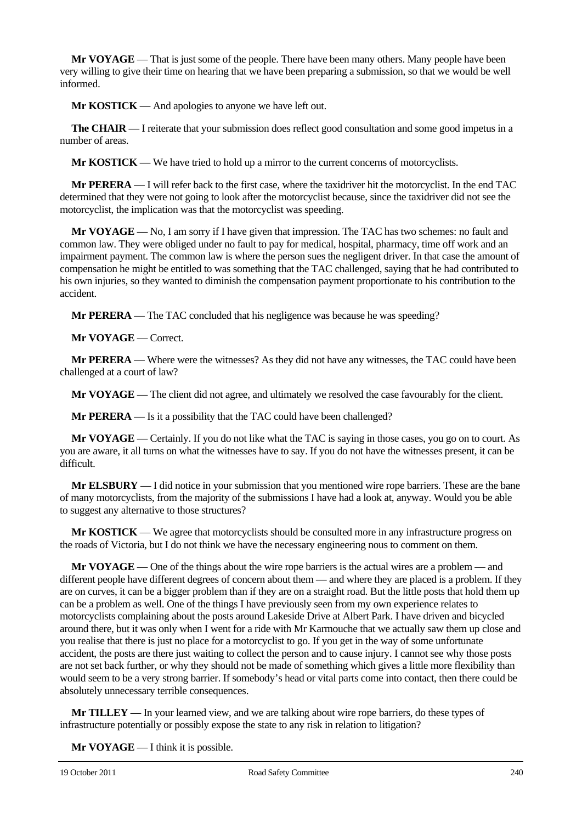**Mr VOYAGE** — That is just some of the people. There have been many others. Many people have been very willing to give their time on hearing that we have been preparing a submission, so that we would be well informed.

**Mr KOSTICK** — And apologies to anyone we have left out.

**The CHAIR** — I reiterate that your submission does reflect good consultation and some good impetus in a number of areas.

**Mr KOSTICK** — We have tried to hold up a mirror to the current concerns of motorcyclists.

**Mr PERERA** — I will refer back to the first case, where the taxidriver hit the motorcyclist. In the end TAC determined that they were not going to look after the motorcyclist because, since the taxidriver did not see the motorcyclist, the implication was that the motorcyclist was speeding.

**Mr VOYAGE** — No, I am sorry if I have given that impression. The TAC has two schemes: no fault and common law. They were obliged under no fault to pay for medical, hospital, pharmacy, time off work and an impairment payment. The common law is where the person sues the negligent driver. In that case the amount of compensation he might be entitled to was something that the TAC challenged, saying that he had contributed to his own injuries, so they wanted to diminish the compensation payment proportionate to his contribution to the accident.

**Mr PERERA** — The TAC concluded that his negligence was because he was speeding?

**Mr VOYAGE** — Correct.

**Mr PERERA** — Where were the witnesses? As they did not have any witnesses, the TAC could have been challenged at a court of law?

**Mr VOYAGE** — The client did not agree, and ultimately we resolved the case favourably for the client.

**Mr PERERA** — Is it a possibility that the TAC could have been challenged?

**Mr VOYAGE** — Certainly. If you do not like what the TAC is saying in those cases, you go on to court. As you are aware, it all turns on what the witnesses have to say. If you do not have the witnesses present, it can be difficult.

**Mr ELSBURY** — I did notice in your submission that you mentioned wire rope barriers. These are the bane of many motorcyclists, from the majority of the submissions I have had a look at, anyway. Would you be able to suggest any alternative to those structures?

**Mr KOSTICK** — We agree that motorcyclists should be consulted more in any infrastructure progress on the roads of Victoria, but I do not think we have the necessary engineering nous to comment on them.

**Mr VOYAGE** — One of the things about the wire rope barriers is the actual wires are a problem — and different people have different degrees of concern about them — and where they are placed is a problem. If they are on curves, it can be a bigger problem than if they are on a straight road. But the little posts that hold them up can be a problem as well. One of the things I have previously seen from my own experience relates to motorcyclists complaining about the posts around Lakeside Drive at Albert Park. I have driven and bicycled around there, but it was only when I went for a ride with Mr Karmouche that we actually saw them up close and you realise that there is just no place for a motorcyclist to go. If you get in the way of some unfortunate accident, the posts are there just waiting to collect the person and to cause injury. I cannot see why those posts are not set back further, or why they should not be made of something which gives a little more flexibility than would seem to be a very strong barrier. If somebody's head or vital parts come into contact, then there could be absolutely unnecessary terrible consequences.

**Mr TILLEY** — In your learned view, and we are talking about wire rope barriers, do these types of infrastructure potentially or possibly expose the state to any risk in relation to litigation?

**Mr VOYAGE** — I think it is possible.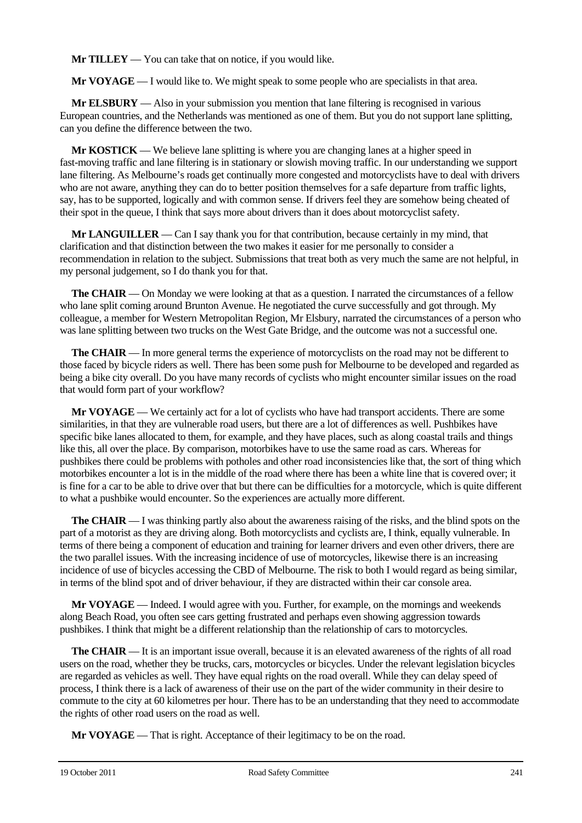**Mr TILLEY** — You can take that on notice, if you would like.

**Mr VOYAGE** — I would like to. We might speak to some people who are specialists in that area.

**Mr ELSBURY** — Also in your submission you mention that lane filtering is recognised in various European countries, and the Netherlands was mentioned as one of them. But you do not support lane splitting, can you define the difference between the two.

**Mr KOSTICK** — We believe lane splitting is where you are changing lanes at a higher speed in fast-moving traffic and lane filtering is in stationary or slowish moving traffic. In our understanding we support lane filtering. As Melbourne's roads get continually more congested and motorcyclists have to deal with drivers who are not aware, anything they can do to better position themselves for a safe departure from traffic lights, say, has to be supported, logically and with common sense. If drivers feel they are somehow being cheated of their spot in the queue, I think that says more about drivers than it does about motorcyclist safety.

**Mr LANGUILLER** — Can I say thank you for that contribution, because certainly in my mind, that clarification and that distinction between the two makes it easier for me personally to consider a recommendation in relation to the subject. Submissions that treat both as very much the same are not helpful, in my personal judgement, so I do thank you for that.

**The CHAIR** — On Monday we were looking at that as a question. I narrated the circumstances of a fellow who lane split coming around Brunton Avenue. He negotiated the curve successfully and got through. My colleague, a member for Western Metropolitan Region, Mr Elsbury, narrated the circumstances of a person who was lane splitting between two trucks on the West Gate Bridge, and the outcome was not a successful one.

**The CHAIR** — In more general terms the experience of motorcyclists on the road may not be different to those faced by bicycle riders as well. There has been some push for Melbourne to be developed and regarded as being a bike city overall. Do you have many records of cyclists who might encounter similar issues on the road that would form part of your workflow?

**Mr VOYAGE** — We certainly act for a lot of cyclists who have had transport accidents. There are some similarities, in that they are vulnerable road users, but there are a lot of differences as well. Pushbikes have specific bike lanes allocated to them, for example, and they have places, such as along coastal trails and things like this, all over the place. By comparison, motorbikes have to use the same road as cars. Whereas for pushbikes there could be problems with potholes and other road inconsistencies like that, the sort of thing which motorbikes encounter a lot is in the middle of the road where there has been a white line that is covered over; it is fine for a car to be able to drive over that but there can be difficulties for a motorcycle, which is quite different to what a pushbike would encounter. So the experiences are actually more different.

**The CHAIR** — I was thinking partly also about the awareness raising of the risks, and the blind spots on the part of a motorist as they are driving along. Both motorcyclists and cyclists are, I think, equally vulnerable. In terms of there being a component of education and training for learner drivers and even other drivers, there are the two parallel issues. With the increasing incidence of use of motorcycles, likewise there is an increasing incidence of use of bicycles accessing the CBD of Melbourne. The risk to both I would regard as being similar, in terms of the blind spot and of driver behaviour, if they are distracted within their car console area.

**Mr VOYAGE** — Indeed. I would agree with you. Further, for example, on the mornings and weekends along Beach Road, you often see cars getting frustrated and perhaps even showing aggression towards pushbikes. I think that might be a different relationship than the relationship of cars to motorcycles.

**The CHAIR** — It is an important issue overall, because it is an elevated awareness of the rights of all road users on the road, whether they be trucks, cars, motorcycles or bicycles. Under the relevant legislation bicycles are regarded as vehicles as well. They have equal rights on the road overall. While they can delay speed of process, I think there is a lack of awareness of their use on the part of the wider community in their desire to commute to the city at 60 kilometres per hour. There has to be an understanding that they need to accommodate the rights of other road users on the road as well.

**Mr VOYAGE** — That is right. Acceptance of their legitimacy to be on the road.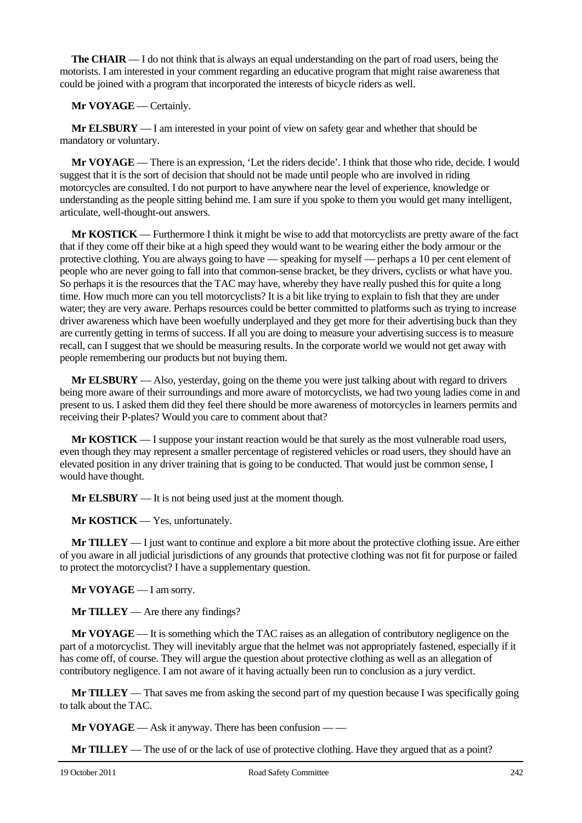**The CHAIR** — I do not think that is always an equal understanding on the part of road users, being the motorists. I am interested in your comment regarding an educative program that might raise awareness that could be joined with a program that incorporated the interests of bicycle riders as well.

**Mr VOYAGE** — Certainly.

**Mr ELSBURY** — I am interested in your point of view on safety gear and whether that should be mandatory or voluntary.

**Mr VOYAGE** — There is an expression, 'Let the riders decide'. I think that those who ride, decide. I would suggest that it is the sort of decision that should not be made until people who are involved in riding motorcycles are consulted. I do not purport to have anywhere near the level of experience, knowledge or understanding as the people sitting behind me. I am sure if you spoke to them you would get many intelligent, articulate, well-thought-out answers.

**Mr KOSTICK** — Furthermore I think it might be wise to add that motorcyclists are pretty aware of the fact that if they come off their bike at a high speed they would want to be wearing either the body armour or the protective clothing. You are always going to have — speaking for myself — perhaps a 10 per cent element of people who are never going to fall into that common-sense bracket, be they drivers, cyclists or what have you. So perhaps it is the resources that the TAC may have, whereby they have really pushed this for quite a long time. How much more can you tell motorcyclists? It is a bit like trying to explain to fish that they are under water; they are very aware. Perhaps resources could be better committed to platforms such as trying to increase driver awareness which have been woefully underplayed and they get more for their advertising buck than they are currently getting in terms of success. If all you are doing to measure your advertising success is to measure recall, can I suggest that we should be measuring results. In the corporate world we would not get away with people remembering our products but not buying them.

**Mr ELSBURY** — Also, yesterday, going on the theme you were just talking about with regard to drivers being more aware of their surroundings and more aware of motorcyclists, we had two young ladies come in and present to us. I asked them did they feel there should be more awareness of motorcycles in learners permits and receiving their P-plates? Would you care to comment about that?

**Mr KOSTICK** — I suppose your instant reaction would be that surely as the most vulnerable road users, even though they may represent a smaller percentage of registered vehicles or road users, they should have an elevated position in any driver training that is going to be conducted. That would just be common sense, I would have thought.

**Mr ELSBURY** — It is not being used just at the moment though.

**Mr KOSTICK** — Yes, unfortunately.

**Mr TILLEY** — I just want to continue and explore a bit more about the protective clothing issue. Are either of you aware in all judicial jurisdictions of any grounds that protective clothing was not fit for purpose or failed to protect the motorcyclist? I have a supplementary question.

**Mr VOYAGE** — I am sorry.

**Mr TILLEY** — Are there any findings?

**Mr VOYAGE** — It is something which the TAC raises as an allegation of contributory negligence on the part of a motorcyclist. They will inevitably argue that the helmet was not appropriately fastened, especially if it has come off, of course. They will argue the question about protective clothing as well as an allegation of contributory negligence. I am not aware of it having actually been run to conclusion as a jury verdict.

**Mr TILLEY** — That saves me from asking the second part of my question because I was specifically going to talk about the TAC.

**Mr VOYAGE** — Ask it anyway. There has been confusion — —

**Mr TILLEY** — The use of or the lack of use of protective clothing. Have they argued that as a point?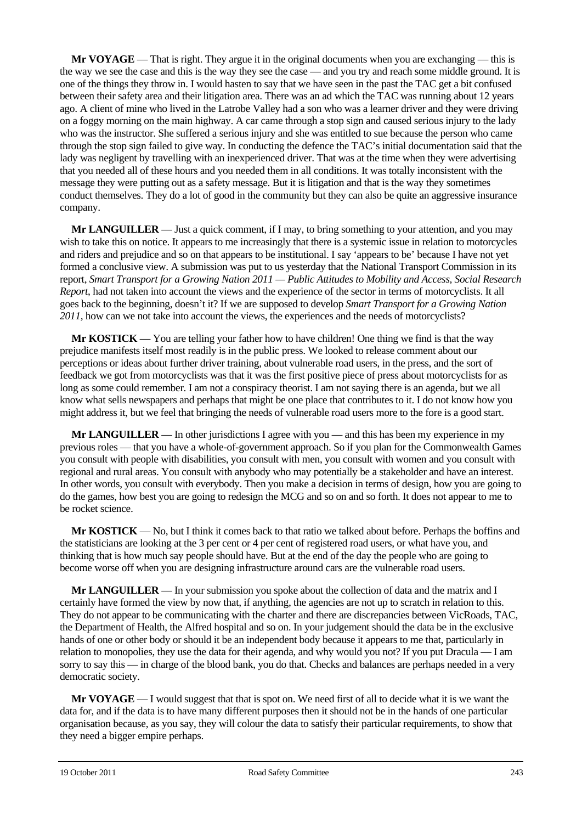**Mr VOYAGE** — That is right. They argue it in the original documents when you are exchanging — this is the way we see the case and this is the way they see the case — and you try and reach some middle ground. It is one of the things they throw in. I would hasten to say that we have seen in the past the TAC get a bit confused between their safety area and their litigation area. There was an ad which the TAC was running about 12 years ago. A client of mine who lived in the Latrobe Valley had a son who was a learner driver and they were driving on a foggy morning on the main highway. A car came through a stop sign and caused serious injury to the lady who was the instructor. She suffered a serious injury and she was entitled to sue because the person who came through the stop sign failed to give way. In conducting the defence the TAC's initial documentation said that the lady was negligent by travelling with an inexperienced driver. That was at the time when they were advertising that you needed all of these hours and you needed them in all conditions. It was totally inconsistent with the message they were putting out as a safety message. But it is litigation and that is the way they sometimes conduct themselves. They do a lot of good in the community but they can also be quite an aggressive insurance company.

**Mr LANGUILLER** — Just a quick comment, if I may, to bring something to your attention, and you may wish to take this on notice. It appears to me increasingly that there is a systemic issue in relation to motorcycles and riders and prejudice and so on that appears to be institutional. I say 'appears to be' because I have not yet formed a conclusive view. A submission was put to us yesterday that the National Transport Commission in its report, *Smart Transport for a Growing Nation 2011 — Public Attitudes to Mobility and Access, Social Research Report*, had not taken into account the views and the experience of the sector in terms of motorcyclists. It all goes back to the beginning, doesn't it? If we are supposed to develop *Smart Transport for a Growing Nation 2011,* how can we not take into account the views, the experiences and the needs of motorcyclists?

**Mr KOSTICK** — You are telling your father how to have children! One thing we find is that the way prejudice manifests itself most readily is in the public press. We looked to release comment about our perceptions or ideas about further driver training, about vulnerable road users, in the press, and the sort of feedback we got from motorcyclists was that it was the first positive piece of press about motorcyclists for as long as some could remember. I am not a conspiracy theorist. I am not saying there is an agenda, but we all know what sells newspapers and perhaps that might be one place that contributes to it. I do not know how you might address it, but we feel that bringing the needs of vulnerable road users more to the fore is a good start.

**Mr LANGUILLER** — In other jurisdictions I agree with you — and this has been my experience in my previous roles — that you have a whole-of-government approach. So if you plan for the Commonwealth Games you consult with people with disabilities, you consult with men, you consult with women and you consult with regional and rural areas. You consult with anybody who may potentially be a stakeholder and have an interest. In other words, you consult with everybody. Then you make a decision in terms of design, how you are going to do the games, how best you are going to redesign the MCG and so on and so forth. It does not appear to me to be rocket science.

**Mr KOSTICK** — No, but I think it comes back to that ratio we talked about before. Perhaps the boffins and the statisticians are looking at the 3 per cent or 4 per cent of registered road users, or what have you, and thinking that is how much say people should have. But at the end of the day the people who are going to become worse off when you are designing infrastructure around cars are the vulnerable road users.

**Mr LANGUILLER** — In your submission you spoke about the collection of data and the matrix and I certainly have formed the view by now that, if anything, the agencies are not up to scratch in relation to this. They do not appear to be communicating with the charter and there are discrepancies between VicRoads, TAC, the Department of Health, the Alfred hospital and so on. In your judgement should the data be in the exclusive hands of one or other body or should it be an independent body because it appears to me that, particularly in relation to monopolies, they use the data for their agenda, and why would you not? If you put Dracula — I am sorry to say this — in charge of the blood bank, you do that. Checks and balances are perhaps needed in a very democratic society.

**Mr VOYAGE** — I would suggest that that is spot on. We need first of all to decide what it is we want the data for, and if the data is to have many different purposes then it should not be in the hands of one particular organisation because, as you say, they will colour the data to satisfy their particular requirements, to show that they need a bigger empire perhaps.